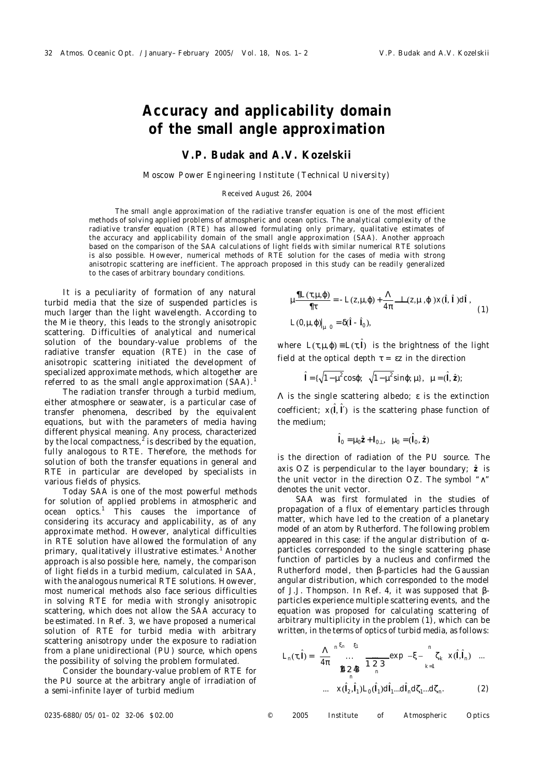# **Accuracy and applicability domain of the small angle approximation**

## **V.P. Budak and A.V. Kozelskii**

#### *Moscow Power Engineering Institute (Technical University)*

#### Received August 26, 2004

The small angle approximation of the radiative transfer equation is one of the most efficient methods of solving applied problems of atmospheric and ocean optics. The analytical complexity of the radiative transfer equation (RTE) has allowed formulating only primary, qualitative estimates of the accuracy and applicability domain of the small angle approximation (SAA). Another approach based on the comparison of the SAA calculations of light fields with similar numerical RTE solutions is also possible. However, numerical methods of RTE solution for the cases of media with strong anisotropic scattering are inefficient. The approach proposed in this study can be readily generalized to the cases of arbitrary boundary conditions.

It is a peculiarity of formation of any natural turbid media that the size of suspended particles is much larger than the light wavelength. According to the Mie theory, this leads to the strongly anisotropic scattering. Difficulties of analytical and numerical solution of the boundary-value problems of the radiative transfer equation (RTE) in the case of anisotropic scattering initiated the development of specialized approximate methods, which altogether are referred to as the small angle approximation  $(SAA)$ .<sup>1</sup>

The radiation transfer through a turbid medium, either atmosphere or seawater, is a particular case of transfer phenomena, described by the equivalent equations, but with the parameters of media having different physical meaning. Any process, characterized by the local compactness, $^2$  is described by the equation, fully analogous to RTE. Therefore, the methods for solution of both the transfer equations in general and RTE in particular are developed by specialists in various fields of physics.

Today SAA is one of the most powerful methods for solution of applied problems in atmospheric and ocean optics.<sup>1</sup> This causes the importance of considering its accuracy and applicability, as of any approximate method. However, analytical difficulties in RTE solution have allowed the formulation of any primary, qualitatively illustrative estimates.<sup>1</sup> Another approach is also possible here, namely, the comparison of light fields in a turbid medium, calculated in SAA, with the analogous numerical RTE solutions. However, most numerical methods also face serious difficulties in solving RTE for media with strongly anisotropic scattering, which does not allow the SAA accuracy to be estimated. In Ref. 3, we have proposed a numerical solution of RTE for turbid media with arbitrary scattering anisotropy under the exposure to radiation from a plane unidirectional (PU) source, which opens the possibility of solving the problem formulated.

Consider the boundary-value problem of RTE for the PU source at the arbitrary angle of irradiation of a semi-infinite layer of turbid medium

$$
\mu \frac{\mathcal{H}L(\tau, \mu, \varphi)}{\mathcal{H}} = -L(z, \mu, \varphi) + \frac{\Lambda}{4\pi} \ddot{\mathbf{G}} L(z, \mu, \varphi) \times (\hat{\mathbf{i}}, \hat{\mathbf{i}}) \text{d}\hat{\mathbf{i}},
$$
  
 
$$
L(0, \mu, \varphi)|_{\mu = 0} = \delta(\hat{\mathbf{i}} - \hat{\mathbf{i}}_0),
$$
 (1)

where  $L(\tau, \mu, \varphi) = L(\tau, \hat{l})$  is the brightness of the light field at the optical depth  $\tau = \varepsilon z$  in the direction

$$
\hat{I} = \{\sqrt{1 - \mu^2} \cos\varphi; \sqrt{1 - \mu^2} \sin\varphi; \mu\}, \mu = (\hat{I}, \hat{z});
$$

Λ is the single scattering albedo; ε is the extinction coefficient;  $x(\hat{\mathbf{l}}, \hat{\mathbf{l}}')$  is the scattering phase function of the medium;

$$
\hat{I}_0 = \mu_0 \hat{z} + I_{0\perp}, \ \mu_0 = (\hat{I}_0, \hat{z})
$$

is the direction of radiation of the PU source. The axis  $OZ$  is perpendicular to the layer boundary;  $\hat{z}$  is the unit vector in the direction *OZ*. The symbol "∧" denotes the unit vector.

SAA was first formulated in the studies of propagation of a flux of elementary particles through matter, which have led to the creation of a planetary model of an atom by Rutherford. The following problem appeared in this case: if the angular distribution of  $α$ particles corresponded to the single scattering phase function of particles by a nucleus and confirmed the Rutherford model, then β-particles had the Gaussian angular distribution, which corresponded to the model of J.J. Thompson. In Ref. 4, it was supposed that βparticles experience multiple scattering events, and the equation was proposed for calculating scattering of arbitrary multiplicity in the problem (1), which can be written, in the terms of optics of turbid media, as follows:

$$
L_n(\tau, \hat{l}) = \frac{\Lambda}{4\pi} \sum_{n=0}^{n \xi_n} \sum_{r=1}^{\xi_1} \mathbf{B}_{\text{C}} \mathbf{E}_{\text{D}} \exp(-\xi - \sum_{k=1}^{n} \zeta_k \ x(\hat{l}, \hat{l}_n) \dots
$$
  
...  $x(\hat{l}_2, \hat{l}_1) L_0(\hat{l}_1) d\hat{l}_1 ... d\hat{l}_n d\zeta_1 ... d\zeta_n.$  (2)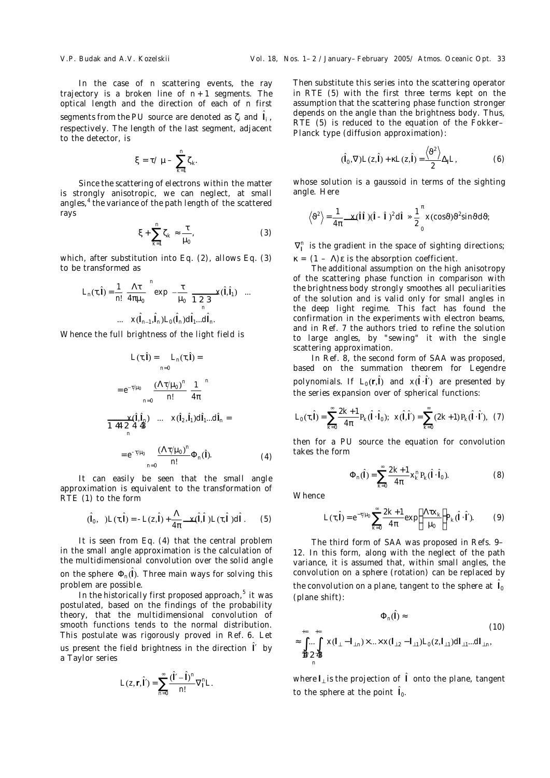In the case of *n* scattering events, the ray trajectory is a broken line of  $n+1$  segments. The optical length and the direction of each of *n* first segments from the PU source are denoted as  $\zeta_i$  and  $\hat{\mathbf{l}}_i$ , respectively. The length of the last segment, adjacent to the detector, is

$$
\xi=\tau/\mu-\sum_{k=1}^n\zeta_k.
$$

Since the scattering of electrons within the matter is strongly anisotropic, we can neglect, at small angles,<sup>4</sup> the variance of the path length of the scattered rays

$$
\xi + \sum_{k=1}^{n} \zeta_k \approx \frac{\tau}{\mu_0},\tag{3}
$$

which, after substitution into Eq. (2), allows Eq. (3) to be transformed as

$$
L_n(\tau, \hat{\mathbf{l}}) = \frac{1}{n!} \frac{\Lambda \tau}{4\pi \mu_0} \exp \left(-\frac{\tau}{\mu_0} \sum_{n=0}^{\infty} x(\hat{\mathbf{l}}, \hat{\mathbf{l}}_1) \right) \dots
$$

$$
\dots \quad x(\hat{\mathbf{l}}_{n-1}, \hat{\mathbf{l}}_n) L_0(\hat{\mathbf{l}}_n) d\hat{\mathbf{l}}_1 \dots d\hat{\mathbf{l}}_n.
$$

Whence the full brightness of the light field is

$$
L(\tau, \hat{\mathbf{l}}) = L_n(\tau, \hat{\mathbf{l}}) =
$$
  
\n
$$
= e^{-\tau/\mu_0} \frac{(\Lambda \tau/\mu_0)^n}{n!} \frac{1}{4\pi}^n
$$
  
\n
$$
\ddot{\mathbf{B}} \cdot \frac{\ddot{\mathbf{B}}}{\dot{\mathbf{B}}} \times (\hat{\mathbf{l}}, \hat{\mathbf{l}}_n) \dots \times (\hat{\mathbf{l}}_2, \hat{\mathbf{l}}_1) d\hat{\mathbf{l}}_1 ... d\hat{\mathbf{l}}_n =
$$
  
\n
$$
= e^{-\tau/\mu_0} \frac{(\Lambda \tau/\mu_0)^n}{n!} \Phi_n(\hat{\mathbf{l}}).
$$
 (4)

It can easily be seen that the small angle approximation is equivalent to the transformation of RTE (1) to the form

$$
(\hat{\mathsf{I}}_0, \ \ )L(\tau, \hat{\mathsf{I}}) = -L(z, \hat{\mathsf{I}}) + \frac{\Lambda}{4\pi} \hat{\mathbf{G}} \times (\hat{\mathsf{I}}, \hat{\mathsf{I}} \ )L(\tau, \hat{\mathsf{I}} \ ) \text{d}\hat{\mathsf{I}} \ . \tag{5}
$$

It is seen from Eq. (4) that the central problem in the small angle approximation is the calculation of the multidimensional convolution over the solid angle on the sphere  $\Phi_n(\hat{\mathsf{I}})$ . Three main ways for solving this problem are possible.

In the historically first proposed approach,<sup>5</sup> it was postulated, based on the findings of the probability theory, that the multidimensional convolution of smooth functions tends to the normal distribution. This postulate was rigorously proved in Ref. 6. Let us present the field brightness in the direction I<sup>'</sup> by a Taylor series

$$
L(z,\mathsf{r},\hat{\mathsf{l}}')=\sum_{n=0}^{\infty}\frac{(\hat{\mathsf{l}}'-\hat{\mathsf{l}})^n}{n!}\nabla_{\mathsf{l}}^nL.
$$

Then substitute this series into the scattering operator in RTE (5) with the first three terms kept on the assumption that the scattering phase function stronger depends on the angle than the brightness body. Thus, RTE (5) is reduced to the equation of the Fokker– Planck type (diffusion approximation):

$$
(\hat{\mathbf{l}}_0, \nabla) L(z, \hat{\mathbf{l}}) + \kappa L(z, \hat{\mathbf{l}}) = \frac{\langle \vartheta^2 \rangle}{2} \Delta_{\mathbf{l}} L,\tag{6}
$$

whose solution is a gaussoid in terms of the sighting angle. Here

$$
\langle \vartheta^2 \rangle = \frac{1}{4\pi} \ddot{\mathbf{G}} \times (\hat{\mathbf{i}} \hat{\mathbf{i}})(\hat{\mathbf{i}} - \hat{\mathbf{i}})^2 d\hat{\mathbf{i}} \times \frac{1}{2} \int_{0}^{\pi} x(\cos \vartheta) \vartheta^2 \sin \vartheta d\vartheta
$$

 $\nabla_{\mathsf{I}}^n$  is the gradient in the space of sighting directions;  $\kappa = (1 - \Lambda)\varepsilon$  is the absorption coefficient.

The additional assumption on the high anisotropy of the scattering phase function in comparison with the brightness body strongly smoothes all peculiarities of the solution and is valid only for small angles in the deep light regime. This fact has found the confirmation in the experiments with electron beams, and in Ref. 7 the authors tried to refine the solution to large angles, by "sewing" it with the single scattering approximation.

In Ref. 8, the second form of SAA was proposed, based on the summation theorem for Legendre polynomials. If  $L_0(r, \hat{l})$  and  $x(\hat{l} \cdot \hat{l}')$  are presented by the series expansion over of spherical functions:

$$
L_0(\tau, \hat{\mathbf{i}}) = \sum_{k=0}^{\infty} \frac{2k+1}{4\pi} P_k(\hat{\mathbf{i}} \cdot \hat{\mathbf{i}}_0); \quad x(\hat{\mathbf{i}}, \hat{\mathbf{i}}') = \sum_{k=0}^{\infty} (2k+1) P_k(\hat{\mathbf{i}} \cdot \hat{\mathbf{i}}'), \quad (7)
$$

then for a PU source the equation for convolution takes the form

$$
\Phi_n(\hat{I}) = \sum_{k=0}^{\infty} \frac{2k+1}{4\pi} X_k^{\{n\}} P_k(\hat{I} \cdot \hat{I}_0).
$$
 (8)

**Whence** 

$$
L(\tau, \hat{\mathbf{i}}) = e^{-\tau/\mu_0} \sum_{k=0}^{\infty} \frac{2k+1}{4\pi} \exp\left(\frac{\Lambda \tau x_k}{\mu_0}\right) P_k(\hat{\mathbf{i}} \cdot \hat{\mathbf{i}}').
$$
 (9)

The third form of SAA was proposed in Refs. 9– 12. In this form, along with the neglect of the path variance, it is assumed that, within small angles, the convolution on a sphere (rotation) can be replaced by the convolution on a plane, tangent to the sphere at  $\hat{\textbf{l}}_{\text{c}}$ (plane shift):

$$
\Phi_n(\hat{I}) \approx
$$
\n
$$
\approx \int_{\mathbf{B} \cap \mathbf{C}}^{\infty} x(I_{\perp} - I_{\perp n}) \times ... \times x(I_{\perp 2} - I_{\perp 1}) L_0(z, I_{\perp 1}) dl_{\perp 1}...dl_{\perp n},
$$
\n(10)\n
$$
\mathbf{B} \mathbf{C} \mathbf{D}
$$

where **<sup>l</sup>**<sup>⊥</sup> is the projection of <sup>Ö</sup> **l** onto the plane, tangent to the sphere at the point  $\hat{I}_0$ .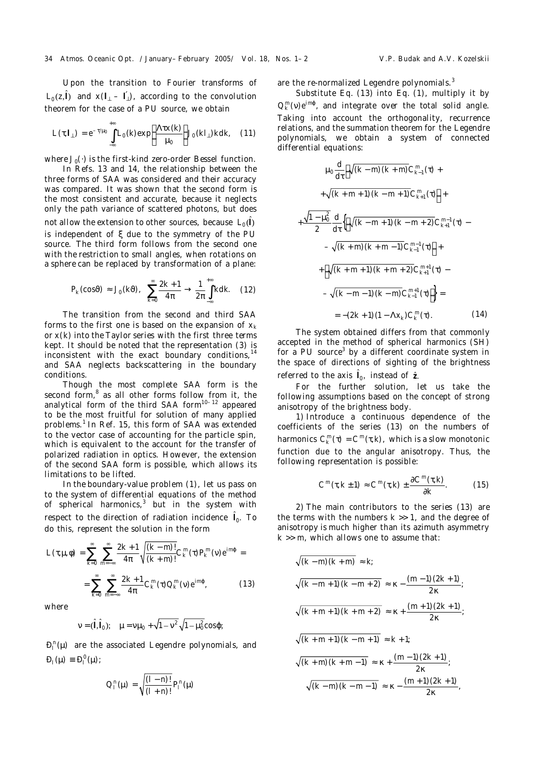Upon the transition to Fourier transforms of  $L_0(z, \hat{\mathbf{l}})$  and  $x(\mathbf{l}_\perp - \mathbf{l}'_\perp)$ , according to the convolution theorem for the case of a PU source, we obtain

$$
L(\tau, I_{\perp}) = e^{-\tau/\mu_0} \int_{-\infty}^{+\infty} L_0(k) \exp\left(\frac{\Lambda \tau x(k)}{\mu_0}\right) J_0(kI_{\perp}) k \mathrm{d}k, \quad (11)
$$

where *J*<sub>0</sub>(·) is the first-kind zero-order Bessel function.

In Refs. 13 and 14, the relationship between the three forms of SAA was considered and their accuracy was compared. It was shown that the second form is the most consistent and accurate, because it neglects only the path variance of scattered photons, but does not allow the extension to other sources, because  $\; L_0(\hat{\mathsf{l}})$ is independent of ξ due to the symmetry of the PU source. The third form follows from the second one with the restriction to small angles, when rotations on a sphere can be replaced by transformation of a plane:

$$
P_k(\cos\vartheta) \approx J_0(k\vartheta), \quad \sum_{k=0}^{\infty} \frac{2k+1}{4\pi} \to \frac{1}{2\pi} \int_{-\infty}^{+\infty} k dk. \quad (12)
$$

The transition from the second and third SAA forms to the first one is based on the expansion of *x<sup>k</sup>* or *x*(*k*) into the Taylor series with the first three terms kept. It should be noted that the representation (3) is inconsistent with the exact boundary conditions, and SAA neglects backscattering in the boundary conditions.

Though the most complete SAA form is the second form,<sup>8</sup> as all other forms follow from it, the analytical form of the third SAA form $10^{-12}$  appeared to be the most fruitful for solution of many applied problems.<sup>1</sup> In Ref. 15, this form of SAA was extended to the vector case of accounting for the particle spin, which is equivalent to the account for the transfer of polarized radiation in optics. However, the extension of the second SAA form is possible, which allows its limitations to be lifted.

In the boundary-value problem (1), let us pass on to the system of differential equations of the method of spherical harmonics,<sup>3</sup> but in the system with respect to the direction of radiation incidence  $\hat{\textbf{I}}_0$ . To do this, represent the solution in the form

$$
L(\tau, \mu, \phi) = \sum_{k=0}^{\infty} \sum_{m=-\infty}^{\infty} \frac{2k+1}{4\pi} \sqrt{\frac{(k-m)!}{(k+m)!}} C_{k}^{m}(\tau) P_{k}^{m}(\nu) e^{im\phi} =
$$

$$
= \sum_{k=0}^{\infty} \sum_{m=-\infty}^{\infty} \frac{2k+1}{4\pi} C_{k}^{m}(\tau) Q_{k}^{m}(\nu) e^{im\phi},
$$
(13)

where

$$
v = (\hat{1}, \hat{1}_0);
$$
  $\mu = v\mu_0 + \sqrt{1 - v^2} \sqrt{1 - \mu_0^2} \cos\varphi;$ 

 $D_l^n(\mu)$  are the associated Legendre polynomials, and  $D_l(\mu) \equiv D_l^0(\mu)$ ;

$$
Q_l^n(\mu) = \sqrt{\frac{(l-n)!}{(l+n)!}} P_l^n(\mu)
$$

are the re-normalized Legendre polynomials.<sup>3</sup>

Substitute Eq. (13) into Eq. (1), multiply it by  $Q_k^m(v)e^{im\varphi}$ , and integrate over the total solid angle. Taking into account the orthogonality, recurrence relations, and the summation theorem for the Legendre polynomials, we obtain a system of connected differential equations:

$$
\mu_0 \frac{d}{d\tau} \Big[ \sqrt{(k-m)(k+m)} C_{k-1}^m(\tau) +
$$
  
+  $\sqrt{(k+m+1)(k-m+1)} C_{k+1}^m(\tau) \Big] +$   
+  $\frac{\sqrt{1-\mu_0^2}}{2} \frac{d}{d\tau} \Big\{ \Big[ \sqrt{(k-m+1)(k-m+2)} C_{k+1}^{m-1}(\tau) -$   
-  $\sqrt{(k+m)(k+m-1)} C_{k-1}^{m-1}(\tau) \Big] +$   
+  $\Big[ \sqrt{(k+m+1)(k+m+2)} C_{k+1}^{m+1}(\tau) -$   
-  $\sqrt{(k-m-1)(k-m)} C_{k-1}^{m+1}(\tau) \Big] \Big\} =$   
=  $-(2k+1)(1-\Delta x_k) C_k^m(\tau).$  (14)

The system obtained differs from that commonly accepted in the method of spherical harmonics (SH) for a PU source<sup>3</sup> by a different coordinate system in the space of directions of sighting of the brightness referred to the axis  $\hat{I}_0$ , instead of  $\hat{z}$ .

For the further solution, let us take the following assumptions based on the concept of strong anisotropy of the brightness body.

1) Introduce a continuous dependence of the coefficients of the series (13) on the numbers of harmonics  $C_k^m(\tau) = C^m(\tau, k)$ , which is a slow monotonic function due to the angular anisotropy. Thus, the following representation is possible:

$$
C^{m}(\tau,k\pm 1)\approx C^{m}(\tau,k)\pm \frac{\partial C^{m}(\tau,k)}{\partial k}.
$$
 (15)

2) The main contributors to the series (13) are the terms with the numbers  $k \gg 1$ , and the degree of anisotropy is much higher than its azimuth asymmetry  $k \gg m$ , which allows one to assume that:

$$
\sqrt{(k-m)(k+m)} \approx k;
$$
  
\n
$$
\sqrt{(k-m+1)(k-m+2)} \approx \kappa - \frac{(m-1)(2k+1)}{2\kappa};
$$
  
\n
$$
\sqrt{(k+m+1)(k+m+2)} \approx \kappa + \frac{(m+1)(2k+1)}{2\kappa};
$$
  
\n
$$
\sqrt{(k+m+1)(k-m+1)} \approx k+1;
$$
  
\n
$$
\sqrt{(k+m)(k+m-1)} \approx \kappa + \frac{(m-1)(2k+1)}{2\kappa};
$$
  
\n
$$
\sqrt{(k-m)(k-m-1)} \approx \kappa - \frac{(m+1)(2k+1)}{2\kappa}.
$$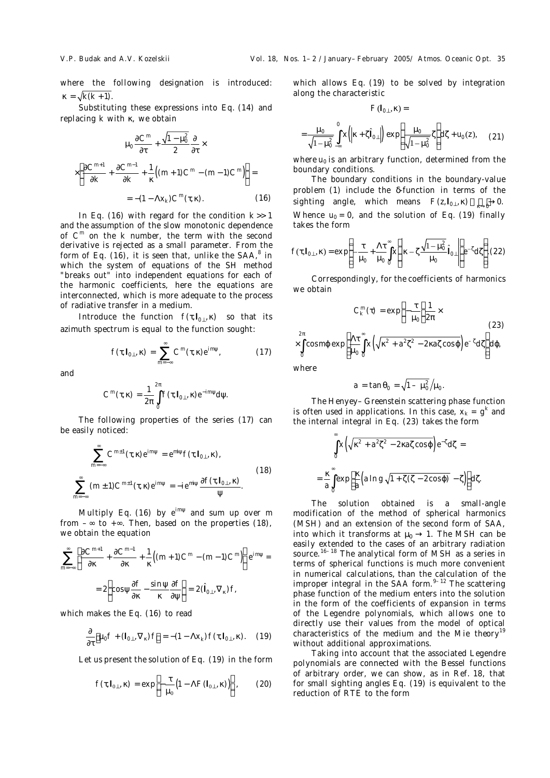where the following designation is introduced:  $\kappa = \sqrt{k(k+1)}$ .

Substituting these expressions into Eq. (14) and replacing *k* with κ, we obtain

$$
\mu_0 \frac{\partial C^m}{\partial \tau} + \frac{\sqrt{1 - \mu_0^2}}{2} \frac{\partial}{\partial \tau} \times
$$

$$
\times \left[ \frac{\partial C^{m+1}}{\partial k} + \frac{\partial C^{m-1}}{\partial k} + \frac{1}{\kappa} \left( (m+1)C^m - (m-1)C^m \right) \right] =
$$

$$
= -(1 - \Lambda x_k)C^m(\tau, \kappa).
$$
(16)

In Eq. (16) with regard for the condition *k* >> 1 and the assumption of the slow monotonic dependence of *C m* on the *k* number, the term with the second derivative is rejected as a small parameter. From the form of Eq. (16), it is seen that, unlike the SAA, $8$  in which the system of equations of the SH method "breaks out" into independent equations for each of the harmonic coefficients, here the equations are interconnected, which is more adequate to the process of radiative transfer in a medium.

Introduce the function  $f(\tau, I_{0\perp}, \kappa)$  so that its azimuth spectrum is equal to the function sought:

$$
f(\tau, I_{0\perp}, \kappa) = \sum_{m=-\infty}^{\infty} C^m(\tau, \kappa) e^{im\psi}, \qquad (17)
$$

and

$$
C^m(\tau,\kappa)=\frac{1}{2\pi}\int\limits^{2\pi}_0 f(\tau,I_{0\perp},\kappa)e^{-im\psi}d\psi.
$$

The following properties of the series (17) can be easily noticed:

$$
\sum_{m=-\infty}^{\infty} C^{m\pm 1}(\tau, \kappa) e^{im\psi} = e^{-i\psi} f(\tau, I_{0\perp}, \kappa),
$$
  

$$
\sum_{m=-\infty}^{\infty} (m \pm 1) C^{m\pm 1}(\tau, \kappa) e^{im\psi} = -ie^{-i\psi} \frac{\partial f(\tau, I_{0\perp}, \kappa)}{\psi}.
$$
 (18)

Multiply Eq. (16) by *e im*ψ and sum up over *m* from  $-\infty$  to  $+\infty$ . Then, based on the properties (18), we obtain the equation

$$
\sum_{m=-\infty}^{\infty} \left[ \frac{\partial C^{m+1}}{\partial \kappa} + \frac{\partial C^{m-1}}{\partial \kappa} + \frac{1}{\kappa} \left( (m+1)C^m - (m-1)C^m \right) \right] e^{im\psi} =
$$

$$
= 2 \left( \cos \psi \frac{\partial f}{\partial \kappa} - \frac{\sin \psi}{\kappa} \frac{\partial f}{\partial \psi} \right) = 2(\hat{I}_{0\perp}, \nabla_{\kappa})f,
$$

which makes the Eq. (16) to read

$$
\frac{\partial}{\partial \tau} \Big[ \mu_0 f + \left( I_{0\perp}, \nabla_{\kappa} \right) f \Big] = - (1 - \Lambda x_k) f(\tau, I_{0\perp}, \kappa). \tag{19}
$$

Let us present the solution of Eq. (19) in the form

$$
f(\tau, I_{0\perp}, \kappa) = \exp\left[-\frac{\tau}{\mu_0} \left(1 - \Lambda F(I_{0\perp}, \kappa)\right)\right], \qquad (20)
$$

which allows Eq. (19) to be solved by integration along the characteristic

$$
F(I_{0\perp},\kappa) =
$$

$$
= \frac{\mu_0}{\sqrt{1-\mu_0^2}} \int_{-\infty}^0 x \left( \left| \kappa + \zeta \right|_{0\perp} \right) \exp \left( \frac{\mu_0}{\sqrt{1-\mu_0^2}} \zeta \right) d\zeta + u_0(z), \quad (21)
$$

where  $u_0$  is an arbitrary function, determined from the boundary conditions.

The boundary conditions in the boundary-value problem (1) include the δ-function in terms of the sighting angle, which means  $F(z, I_{0⊥}, κ) \xrightarrow[\kappa \to 0]{} 0.$ Whence  $u_0 = 0$ , and the solution of Eq. (19) finally takes the form

$$
f(\tau, I_{0\perp}, \kappa) = \exp\left\{-\frac{\tau}{\mu_0} + \frac{\Lambda \tau}{\mu_0} \int_0^{\infty} x \left( \left| \kappa - \zeta \frac{\sqrt{1-\mu_0^2}}{\mu_0} \hat{I}_{0\perp} \right| \right) e^{-\zeta} d\zeta \right\}.
$$
 (22)

Correspondingly, for the coefficients of harmonics we obtain

$$
C_K^m(\tau) = \exp\left(-\frac{\tau}{\mu_0}\right)\frac{1}{2\pi} \times
$$
  
 
$$
\times \int_0^{2\pi} \cos m\varphi \exp\left[\frac{\Lambda \tau}{\mu_0} \int_0^{\infty} x\left(\sqrt{\kappa^2 + a^2 \zeta^2 - 2\kappa a \zeta} \cos \varphi\right) e^{-\zeta} d\zeta\right] d\varphi,
$$

where

 $\overline{2}$ 

$$
a=\tan\theta_0=\sqrt{1-\mu_0^2}\big/\mu_0\,.
$$

The Henyey–Greenstein scattering phase function is often used in applications. In this case,  $x_k = g^k$  and the internal integral in Eq. (23) takes the form

$$
\int_{0}^{\infty} x \left( \sqrt{\kappa^{2} + a^{2} \zeta^{2} - 2\kappa a \zeta \cos \varphi} \right) e^{-\zeta} d\zeta =
$$
\n
$$
= \frac{\kappa}{a} \int_{0}^{\infty} \exp \left[ \frac{\kappa}{a} \left( a \ln g \sqrt{1 + \zeta (\zeta - 2\cos \varphi)} - \zeta \right) \right] d\zeta.
$$

The solution obtained is a small-angle modification of the method of spherical harmonics (MSH) and an extension of the second form of SAA, into which it transforms at  $\mu_0 \rightarrow 1$ . The MSH can be easily extended to the cases of an arbitrary radiation source.<sup>16–18</sup> The analytical form of MSH as a series in terms of spherical functions is much more convenient in numerical calculations, than the calculation of the improper integral in the SAA form. $9-12$  The scattering phase function of the medium enters into the solution in the form of the coefficients of expansion in terms of the Legendre polynomials, which allows one to directly use their values from the model of optical characteristics of the medium and the Mie theory<sup>19</sup> without additional approximations.

Taking into account that the associated Legendre polynomials are connected with the Bessel functions of arbitrary order, we can show, as in Ref. 18, that for small sighting angles Eq. (19) is equivalent to the reduction of RTE to the form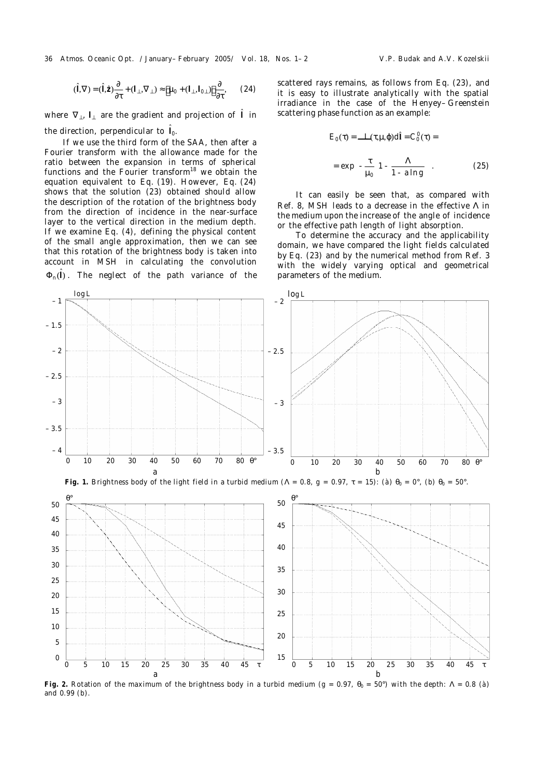36 Atmos. Oceanic Opt. /January–February 2005/ Vol. 18, Nos. 1–2 V.P. Budak and A.V. Kozelskii

$$
(\hat{\mathbf{l}}, \nabla) = (\hat{\mathbf{l}}, \hat{\mathbf{z}}) \frac{\partial}{\partial \tau} + (\mathbf{l}_{\perp}, \nabla_{\perp}) \approx \left[ \mu_0 + (\mathbf{l}_{\perp}, \mathbf{l}_{0\perp}) \right] \frac{\partial}{\partial \tau}, \qquad (24)
$$

where  $\nabla_{\!\bot}$ , I<sub>⊥</sub> are the gradient and projection of  $\hat{\sf I}$  in the direction, perpendicular to  $\hat{I}_0$ .

If we use the third form of the SAA, then after a Fourier transform with the allowance made for the ratio between the expansion in terms of spherical functions and the Fourier transform $18$  we obtain the equation equivalent to Eq. (19). However, Eq. (24) shows that the solution (23) obtained should allow the description of the rotation of the brightness body from the direction of incidence in the near-surface layer to the vertical direction in the medium depth. If we examine Eq. (4), defining the physical content of the small angle approximation, then we can see that this rotation of the brightness body is taken into account in MSH in calculating the convolution  $\Phi_n(\hat{\mathsf{I}})$  . The neglect of the path variance of the

scattered rays remains, as follows from Eq. (23), and it is easy to illustrate analytically with the spatial irradiance in the case of the Henyey–Greenstein scattering phase function as an example:

$$
E_0(\tau) = \ddot{\mathbf{e}} L(\tau, \mu, \varphi) \mathrm{d}\hat{\mathbf{i}} = C_0^0(\tau) =
$$

$$
= \exp\left(-\frac{\tau}{\mu_0}\right) - \frac{\Lambda}{1 - a\ln g} \tag{25}
$$

It can easily be seen that, as compared with Ref. 8, MSH leads to a decrease in the effective Λ in the medium upon the increase of the angle of incidence or the effective path length of light absorption.

To determine the accuracy and the applicability domain, we have compared the light fields calculated by Eq. (23) and by the numerical method from Ref. 3 with the widely varying optical and geometrical parameters of the medium.



**Fig.** 2. Rotation of the maximum of the brightness body in a turbid medium ( $g = 0.97$ ,  $θ_0 = 50°$ ) with the depth:  $Λ = 0.8$  (*à*) and 0.99 (*b*).